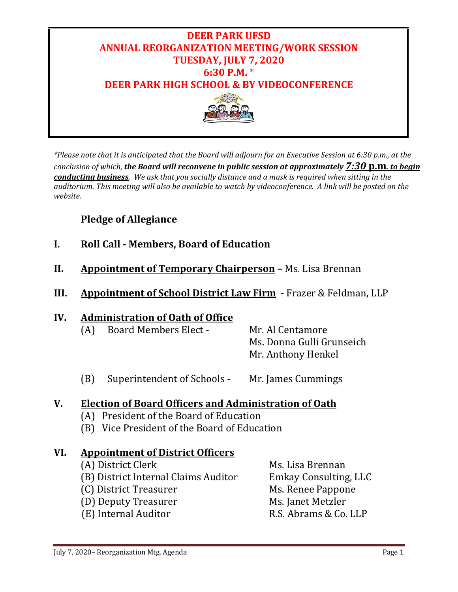

*\*Please note that it is anticipated that the Board will adjourn for an Executive Session at 6:30 p.m., at the conclusion of which, the Board will reconvene in public session at approximately 7:30* **p.m***. to begin conducting business. We ask that you socially distance and a mask is required when sitting in the auditorium. This meeting will also be available to watch by videoconference. A link will be posted on the website.* 

## **Pledge of Allegiance**

- **I. Roll Call - Members, Board of Education**
- **II. Appointment of Temporary Chairperson –** Ms. Lisa Brennan
- **III. Appointment of School District Law Firm -** Frazer & Feldman, LLP

### **IV. Administration of Oath of Office**

| (A) | <b>Board Members Elect -</b> | Mr. Al Centamore          |
|-----|------------------------------|---------------------------|
|     |                              | Ms. Donna Gulli Grunseich |
|     |                              | Mr. Anthony Henkel        |

(B) Superintendent of Schools - Mr. James Cummings

### **V. Election of Board Officers and Administration of Oath**

- (A) President of the Board of Education
- (B) Vice President of the Board of Education

### **VI. Appointment of District Officers**

- 
- 
- 
- 
- (E) Internal Auditor

(A) District Clerk Ms. Lisa Brennan<br>(B) District Internal Claims Auditor Emkay Consulting, LLC (B) District Internal Claims Auditor Emkay Consulting, I<br>
(C) District Treasurer Ms. Renee Pappone (C) District Treasurer Ms. Renee Pappone (D) Deputy Treasurer Ms. Ianet Metzler (D) Deputy Treasurer Ms. Janet Metzler<br>(E) Internal Auditor (E) R.S. Abrams & Co. LLP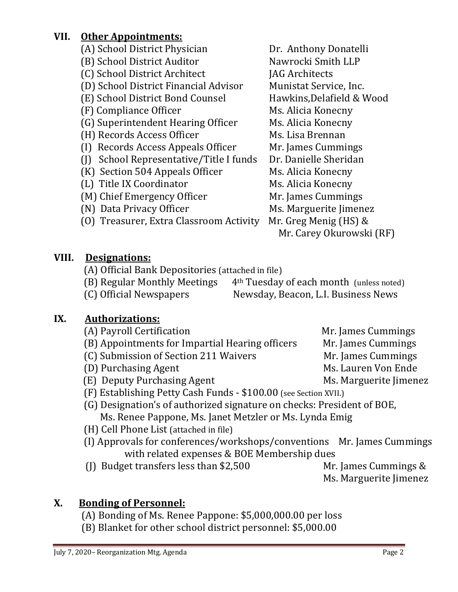## **VII. Other Appointments:**

- 
- (B) School District Auditor Nawrocki Smith LLP
- 
- (C) School District Architect [JAG Architects]<br>(D) School District Financial Advisor [Jagman] Munistat Service, Inc. (D) School District Financial Advisor Munistat Service, Inc.<br>(E) School District Bond Counsel Hawkins, Delafield & Wood
- (E) School District Bond Counsel Hawkins, Delafield & Hawkins, Delafield & Hawkins, Delafield & Ms. Alicia Konecny

- (F) Compliance Officer Ms. Alicia Konecny<br>
(G) Superintendent Hearing Officer Ms. Alicia Konecny (G) Superintendent Hearing Officer Ms. Alicia Konecn<br>(H) Records Access Officer Ms. Lisa Brennan
- 
- (H) Records Access Officer Ms. Lisa Brennan<br>(I) Records Access Appeals Officer Mr. James Cummings (I) Records Access Appeals Officer Mr. James Cummings<br>(I) School Representative/Title I funds Dr. Danielle Sheridan
- (J) School Representative/Title I funds
- (K) Section 504 Appeals Officer Ms. Alicia Konecny<br>(L) Title IX Coordinator Ms. Alicia Konecny
- 
- (L) Title IX Coordinator Ms. Alicia Konecny<br>(M) Chief Emergency Officer Mr. James Cummings (M) Chief Emergency Officer<br>(N) Data Privacy Officer
- 
- (0) Treasurer, Extra Classroom Activity
- (A) School District Physician Dr. Anthony Donatelli<br>
(B) School District Auditor Nawrocki Smith LLP
	-
	-
	-
	-
	-
	-
	-
	-
	-
	-
	-
	- Ms. Marguerite Jimenez<br>Mr. Greg Menig (HS) &
		- Mr. Carey Okurowski (RF)

# **VIII. Designations:**

- (A) Official Bank Depositories (attached in file)<br>(B) Regular Monthly Meetings 4<sup>th</sup> Tuesday
- (B) Regular Monthly Meetings 4<sup>th</sup> Tuesday of each month (unless noted) (C) Official Newspapers Newsday, Beacon, L.I. Business News
	- Newsday, Beacon, L.I. Business News

# **IX. Authorizations:**

- 
- (A) Payroll Certification Mr. James Cummings<br>(B) Appointments for Impartial Hearing officers Mr. James Cummings (B) Appointments for Impartial Hearing officers Mr. James Cummings<br>(C) Submission of Section 211 Waivers Mr. James Cummings
- (C) Submission of Section 211 Waivers Mr. James Cummings<br>(D) Purchasing Agent Ms. Lauren Von Ende
- 
- (D) Purchasing Agent Ms. Lauren Von Ende<br>(E) Deputy Purchasing Agent Ms. Marguerite Jimenez  $(E)$  Deputy Purchasing Agent
- (F) Establishing Petty Cash Funds \$100.00 (see Section XVII.)
- (G) Designation's of authorized signature on checks: President of BOE, Ms. Renee Pappone, Ms. Janet Metzler or Ms. Lynda Emig
- (H) Cell Phone List (attached in file)
- (I) Approvals for conferences/workshops/conventions Mr. James Cummings with related expenses & BOE Membership dues
- (J) Budget transfers less than \$2,500 Mr. James Cummings &
	-
	- Ms. Marguerite Jimenez

# **X. Bonding of Personnel:**

- (A) Bonding of Ms. Renee Pappone: \$5,000,000.00 per loss
- (B) Blanket for other school district personnel: \$5,000.00
- 
- 
- 
-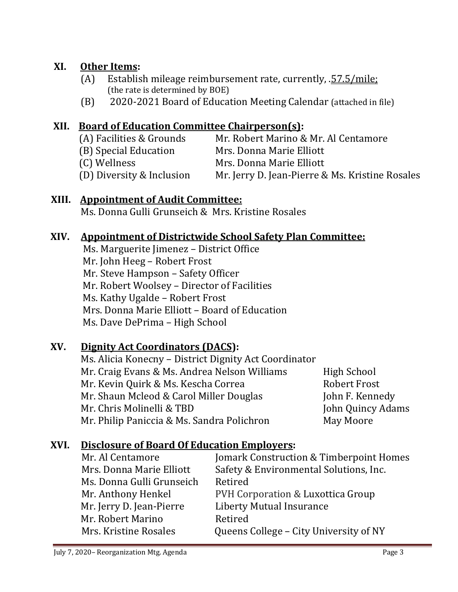## **XI. Other Items:**

- (A) Establish mileage reimbursement rate, currently, .57.5/mile; (the rate is determined by BOE)
- (B) 2020-2021 Board of Education Meeting Calendar (attached in file)

## **XII. Board of Education Committee Chairperson(s):**

| (A) Facilities & Grounds  | Mr. Robert Marino & Mr. Al Centamore            |
|---------------------------|-------------------------------------------------|
| (B) Special Education     | Mrs. Donna Marie Elliott                        |
| (C) Wellness              | Mrs. Donna Marie Elliott                        |
| (D) Diversity & Inclusion | Mr. Jerry D. Jean-Pierre & Ms. Kristine Rosales |

### **XIII. Appointment of Audit Committee:**

Ms. Donna Gulli Grunseich & Mrs. Kristine Rosales

### **XIV. Appointment of Districtwide School Safety Plan Committee:**

Ms. Marguerite Jimenez – District Office Mr. John Heeg – Robert Frost Mr. Steve Hampson – Safety Officer Mr. Robert Woolsey – Director of Facilities Ms. Kathy Ugalde – Robert Frost Mrs. Donna Marie Elliott – Board of Education Ms. Dave DePrima – High School

### **XV. Dignity Act Coordinators (DACS):**

Ms. Alicia Konecny – District Dignity Act Coordinator Mr. Craig Evans & Ms. Andrea Nelson Williams High School Mr. Kevin Quirk & Ms. Kescha Correa Robert Frost Mr. Shaun Mcleod & Carol Miller Douglas<br>Mr. Chris Molinelli & TBD John Quincy Adams<br>May Moore Mr. Philip Paniccia & Ms. Sandra Polichron

### **XVI. Disclosure of Board Of Education Employers:**

| Mr. Al Centamore          | Jomark Construction & Timberpoint Homes |
|---------------------------|-----------------------------------------|
| Mrs. Donna Marie Elliott  | Safety & Environmental Solutions, Inc.  |
| Ms. Donna Gulli Grunseich | Retired                                 |
| Mr. Anthony Henkel        | PVH Corporation & Luxottica Group       |
| Mr. Jerry D. Jean-Pierre  | <b>Liberty Mutual Insurance</b>         |
| Mr. Robert Marino         | Retired                                 |
| Mrs. Kristine Rosales     | Queens College – City University of NY  |
|                           |                                         |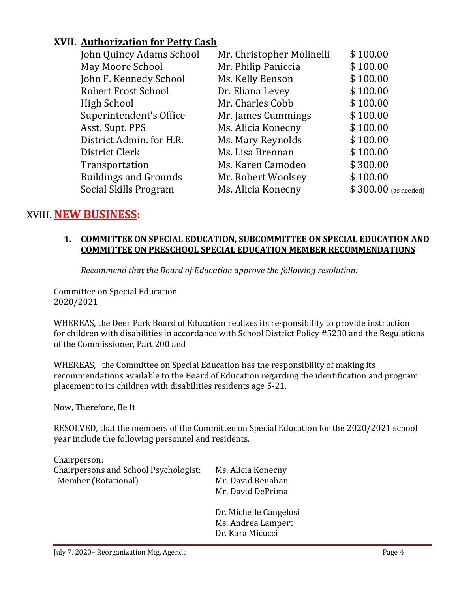## **XVII. Authorization for Petty Cash**

| John Quincy Adams School     | Mr. Christopher Molinelli | \$100.00              |
|------------------------------|---------------------------|-----------------------|
| May Moore School             | Mr. Philip Paniccia       | \$100.00              |
| John F. Kennedy School       | Ms. Kelly Benson          | \$100.00              |
| <b>Robert Frost School</b>   | Dr. Eliana Levey          | \$100.00              |
| High School                  | Mr. Charles Cobb          | \$100.00              |
| Superintendent's Office      | Mr. James Cummings        | \$100.00              |
| Asst. Supt. PPS              | Ms. Alicia Konecny        | \$100.00              |
| District Admin. for H.R.     | Ms. Mary Reynolds         | \$100.00              |
| District Clerk               | Ms. Lisa Brennan          | \$100.00              |
| Transportation               | Ms. Karen Camodeo         | \$300.00              |
| <b>Buildings and Grounds</b> | Mr. Robert Woolsey        | \$100.00              |
| Social Skills Program        | Ms. Alicia Konecny        | $$300.00$ (as needed) |
|                              |                           |                       |

## XVIII. **NEW BUSINESS:**

#### **1. COMMITTEE ON SPECIAL EDUCATION, SUBCOMMITTEE ON SPECIAL EDUCATION AND COMMITTEE ON PRESCHOOL SPECIAL EDUCATION MEMBER RECOMMENDATIONS**

*Recommend that the Board of Education approve the following resolution:*

Committee on Special Education 2020/2021

WHEREAS, the Deer Park Board of Education realizes its responsibility to provide instruction for children with disabilities in accordance with School District Policy #5230 and the Regulations of the Commissioner, Part 200 and

WHEREAS, the Committee on Special Education has the responsibility of making its recommendations available to the Board of Education regarding the identification and program placement to its children with disabilities residents age 5-21.

Now, Therefore, Be It

RESOLVED, that the members of the Committee on Special Education for the 2020/2021 school year include the following personnel and residents.

| Ms. Alicia Konecny<br>Mr. David Renahan                          |
|------------------------------------------------------------------|
|                                                                  |
|                                                                  |
| Mr. David DePrima                                                |
| Dr. Michelle Cangelosi<br>Ms. Andrea Lampert<br>Dr. Kara Micucci |
|                                                                  |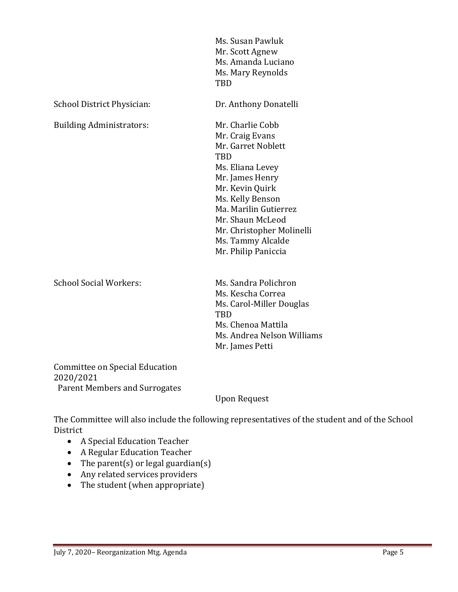|                                 | Ms. Susan Pawluk<br>Mr. Scott Agnew<br>Ms. Amanda Luciano<br>Ms. Mary Reynolds<br>TBD                                                                                                                                                                                       |
|---------------------------------|-----------------------------------------------------------------------------------------------------------------------------------------------------------------------------------------------------------------------------------------------------------------------------|
| School District Physician:      | Dr. Anthony Donatelli                                                                                                                                                                                                                                                       |
| <b>Building Administrators:</b> | Mr. Charlie Cobb<br>Mr. Craig Evans<br>Mr. Garret Noblett<br><b>TBD</b><br>Ms. Eliana Levey<br>Mr. James Henry<br>Mr. Kevin Quirk<br>Ms. Kelly Benson<br>Ma. Marilin Gutierrez<br>Mr. Shaun McLeod<br>Mr. Christopher Molinelli<br>Ms. Tammy Alcalde<br>Mr. Philip Paniccia |
| <b>School Social Workers:</b>   | Ms. Sandra Polichron<br>Ms. Kescha Correa<br>Ms. Carol-Miller Douglas<br><b>TBD</b><br>Ms. Chenoa Mattila<br>Ms. Andrea Nelson Williams<br>Mr. James Petti                                                                                                                  |

Committee on Special Education 2020/2021 Parent Members and Surrogates

Upon Request

The Committee will also include the following representatives of the student and of the School District

- A Special Education Teacher
- A Regular Education Teacher
- The parent(s) or legal guardian(s)
- Any related services providers
- The student (when appropriate)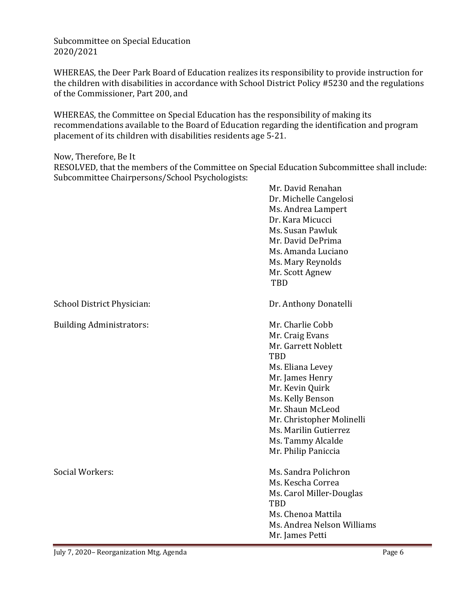Subcommittee on Special Education 2020/2021

WHEREAS, the Deer Park Board of Education realizes its responsibility to provide instruction for the children with disabilities in accordance with School District Policy #5230 and the regulations of the Commissioner, Part 200, and

WHEREAS, the Committee on Special Education has the responsibility of making its recommendations available to the Board of Education regarding the identification and program placement of its children with disabilities residents age 5-21.

Now, Therefore, Be It

RESOLVED, that the members of the Committee on Special Education Subcommittee shall include: Subcommittee Chairpersons/School Psychologists:

|                                 | Mr. David Renahan<br>Dr. Michelle Cangelosi<br>Ms. Andrea Lampert<br>Dr. Kara Micucci<br>Ms. Susan Pawluk<br>Mr. David DePrima<br>Ms. Amanda Luciano<br>Ms. Mary Reynolds<br>Mr. Scott Agnew<br>TBD                                                                   |
|---------------------------------|-----------------------------------------------------------------------------------------------------------------------------------------------------------------------------------------------------------------------------------------------------------------------|
| School District Physician:      | Dr. Anthony Donatelli                                                                                                                                                                                                                                                 |
| <b>Building Administrators:</b> | Mr. Charlie Cobb<br>Mr. Craig Evans<br>Mr. Garrett Noblett<br>TBD<br>Ms. Eliana Levey<br>Mr. James Henry<br>Mr. Kevin Quirk<br>Ms. Kelly Benson<br>Mr. Shaun McLeod<br>Mr. Christopher Molinelli<br>Ms. Marilin Gutierrez<br>Ms. Tammy Alcalde<br>Mr. Philip Paniccia |
| Social Workers:                 | Ms. Sandra Polichron<br>Ms. Kescha Correa<br>Ms. Carol Miller-Douglas<br>TBD<br>Ms. Chenoa Mattila<br>Ms. Andrea Nelson Williams<br>Mr. James Petti                                                                                                                   |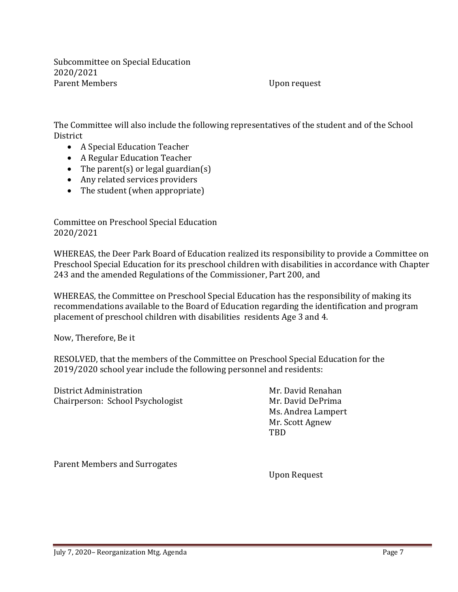Subcommittee on Special Education 2020/2021

Upon request

The Committee will also include the following representatives of the student and of the School District

- A Special Education Teacher
- A Regular Education Teacher
- The parent(s) or legal guardian(s)
- Any related services providers
- The student (when appropriate)

Committee on Preschool Special Education 2020/2021

WHEREAS, the Deer Park Board of Education realized its responsibility to provide a Committee on Preschool Special Education for its preschool children with disabilities in accordance with Chapter 243 and the amended Regulations of the Commissioner, Part 200, and

WHEREAS, the Committee on Preschool Special Education has the responsibility of making its recommendations available to the Board of Education regarding the identification and program placement of preschool children with disabilities residents Age 3 and 4.

Now, Therefore, Be it

RESOLVED, that the members of the Committee on Preschool Special Education for the 2019/2020 school year include the following personnel and residents:

District Administration<br>
Chairperson: School Psychologist<br>
Mr. David DePrima Chairperson: School Psychologist

Ms. Andrea Lampert Mr. Scott Agnew TBD

Parent Members and Surrogates

Upon Request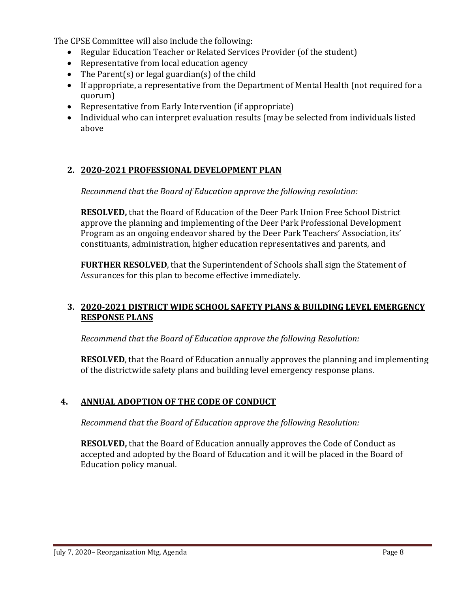The CPSE Committee will also include the following:

- Regular Education Teacher or Related Services Provider (of the student)
- Representative from local education agency
- The Parent(s) or legal guardian(s) of the child
- If appropriate, a representative from the Department of Mental Health (not required for a quorum)
- Representative from Early Intervention (if appropriate)
- Individual who can interpret evaluation results (may be selected from individuals listed above

#### **2. 2020-2021 PROFESSIONAL DEVELOPMENT PLAN**

*Recommend that the Board of Education approve the following resolution:*

**RESOLVED,** that the Board of Education of the Deer Park Union Free School District approve the planning and implementing of the Deer Park Professional Development Program as an ongoing endeavor shared by the Deer Park Teachers' Association, its' constituants, administration, higher education representatives and parents, and

**FURTHER RESOLVED**, that the Superintendent of Schools shall sign the Statement of Assurances for this plan to become effective immediately.

#### **3. 2020-2021 DISTRICT WIDE SCHOOL SAFETY PLANS & BUILDING LEVEL EMERGENCY RESPONSE PLANS**

*Recommend that the Board of Education approve the following Resolution:*

**RESOLVED**, that the Board of Education annually approves the planning and implementing of the districtwide safety plans and building level emergency response plans.

### **4. ANNUAL ADOPTION OF THE CODE OF CONDUCT**

*Recommend that the Board of Education approve the following Resolution:*

**RESOLVED,** that the Board of Education annually approves the Code of Conduct as accepted and adopted by the Board of Education and it will be placed in the Board of Education policy manual.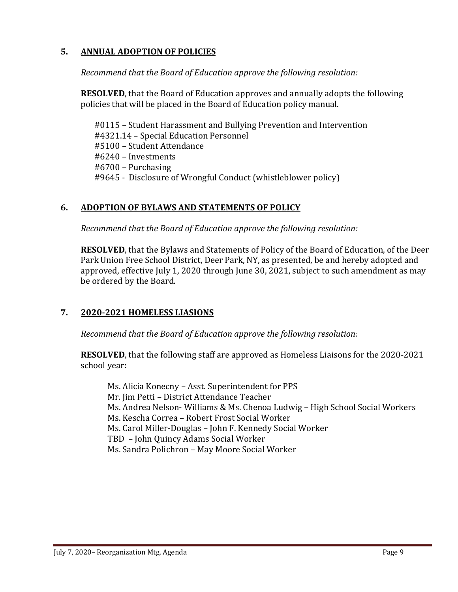#### **5. ANNUAL ADOPTION OF POLICIES**

*Recommend that the Board of Education approve the following resolution:*

**RESOLVED**, that the Board of Education approves and annually adopts the following policies that will be placed in the Board of Education policy manual.

 #0115 – Student Harassment and Bullying Prevention and Intervention #4321.14 – Special Education Personnel #5100 – Student Attendance #6240 – Investments #6700 – Purchasing #9645 - Disclosure of Wrongful Conduct (whistleblower policy)

#### **6. ADOPTION OF BYLAWS AND STATEMENTS OF POLICY**

*Recommend that the Board of Education approve the following resolution:*

**RESOLVED**, that the Bylaws and Statements of Policy of the Board of Education, of the Deer Park Union Free School District, Deer Park, NY, as presented, be and hereby adopted and approved, effective July 1, 2020 through June 30, 2021, subject to such amendment as may be ordered by the Board.

### **7. 2020-2021 HOMELESS LIASIONS**

*Recommend that the Board of Education approve the following resolution:*

**RESOLVED**, that the following staff are approved as Homeless Liaisons for the 2020-2021 school year:

Ms. Alicia Konecny – Asst. Superintendent for PPS Mr. Jim Petti – District Attendance Teacher Ms. Andrea Nelson- Williams & Ms. Chenoa Ludwig – High School Social Workers Ms. Kescha Correa – Robert Frost Social Worker Ms. Carol Miller-Douglas – John F. Kennedy Social Worker TBD – John Quincy Adams Social Worker Ms. Sandra Polichron – May Moore Social Worker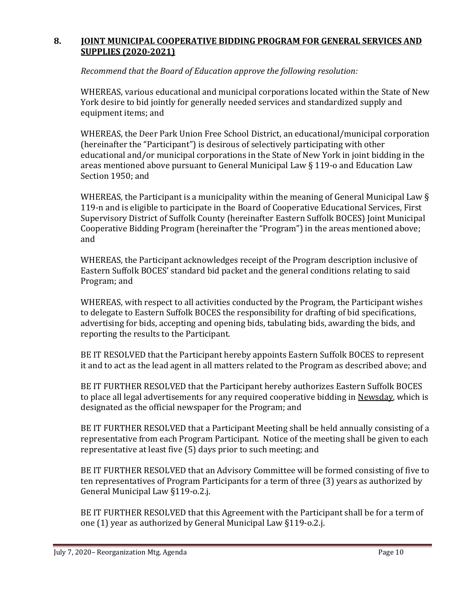#### **8. JOINT MUNICIPAL COOPERATIVE BIDDING PROGRAM FOR GENERAL SERVICES AND SUPPLIES (2020-2021)**

*Recommend that the Board of Education approve the following resolution:*

WHEREAS, various educational and municipal corporations located within the State of New York desire to bid jointly for generally needed services and standardized supply and equipment items; and

WHEREAS, the Deer Park Union Free School District, an educational/municipal corporation (hereinafter the "Participant") is desirous of selectively participating with other educational and/or municipal corporations in the State of New York in joint bidding in the areas mentioned above pursuant to General Municipal Law § 119-o and Education Law Section 1950; and

WHEREAS, the Participant is a municipality within the meaning of General Municipal Law § 119-n and is eligible to participate in the Board of Cooperative Educational Services, First Supervisory District of Suffolk County (hereinafter Eastern Suffolk BOCES) Joint Municipal Cooperative Bidding Program (hereinafter the "Program") in the areas mentioned above; and

WHEREAS, the Participant acknowledges receipt of the Program description inclusive of Eastern Suffolk BOCES' standard bid packet and the general conditions relating to said Program; and

WHEREAS, with respect to all activities conducted by the Program, the Participant wishes to delegate to Eastern Suffolk BOCES the responsibility for drafting of bid specifications, advertising for bids, accepting and opening bids, tabulating bids, awarding the bids, and reporting the results to the Participant.

BE IT RESOLVED that the Participant hereby appoints Eastern Suffolk BOCES to represent it and to act as the lead agent in all matters related to the Program as described above; and

BE IT FURTHER RESOLVED that the Participant hereby authorizes Eastern Suffolk BOCES to place all legal advertisements for any required cooperative bidding in Newsday, which is designated as the official newspaper for the Program; and

BE IT FURTHER RESOLVED that a Participant Meeting shall be held annually consisting of a representative from each Program Participant. Notice of the meeting shall be given to each representative at least five (5) days prior to such meeting; and

BE IT FURTHER RESOLVED that an Advisory Committee will be formed consisting of five to ten representatives of Program Participants for a term of three (3) years as authorized by General Municipal Law §119-o.2.j.

BE IT FURTHER RESOLVED that this Agreement with the Participant shall be for a term of one (1) year as authorized by General Municipal Law §119-o.2.j.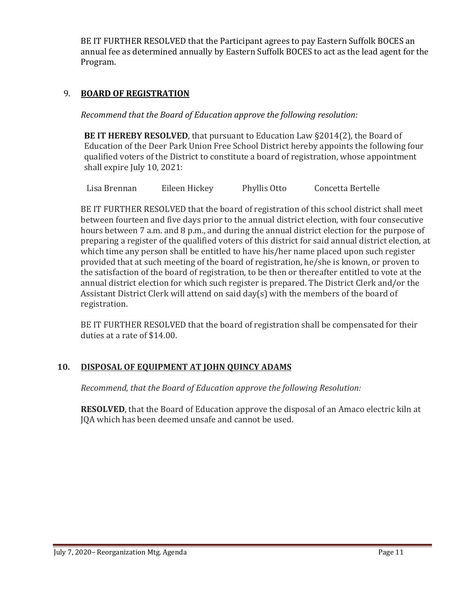BE IT FURTHER RESOLVED that the Participant agrees to pay Eastern Suffolk BOCES an annual fee as determined annually by Eastern Suffolk BOCES to act as the lead agent for the Program.

#### 9. **BOARD OF REGISTRATION**

*Recommend that the Board of Education approve the following resolution:*

**BE IT HEREBY RESOLVED**, that pursuant to Education Law §2014(2), the Board of Education of the Deer Park Union Free School District hereby appoints the following four qualified voters of the District to constitute a board of registration, whose appointment shall expire July 10, 2021:

Lisa Brennan Eileen Hickey Phyllis Otto Concetta Bertelle

BE IT FURTHER RESOLVED that the board of registration of this school district shall meet between fourteen and five days prior to the annual district election, with four consecutive hours between 7 a.m. and 8 p.m., and during the annual district election for the purpose of preparing a register of the qualified voters of this district for said annual district election, at which time any person shall be entitled to have his/her name placed upon such register provided that at such meeting of the board of registration, he/she is known, or proven to the satisfaction of the board of registration, to be then or thereafter entitled to vote at the annual district election for which such register is prepared. The District Clerk and/or the Assistant District Clerk will attend on said day(s) with the members of the board of registration.

BE IT FURTHER RESOLVED that the board of registration shall be compensated for their duties at a rate of \$14.00.

#### **10. DISPOSAL OF EQUIPMENT AT JOHN QUINCY ADAMS**

*Recommend, that the Board of Education approve the following Resolution:*

**RESOLVED**, that the Board of Education approve the disposal of an Amaco electric kiln at JQA which has been deemed unsafe and cannot be used.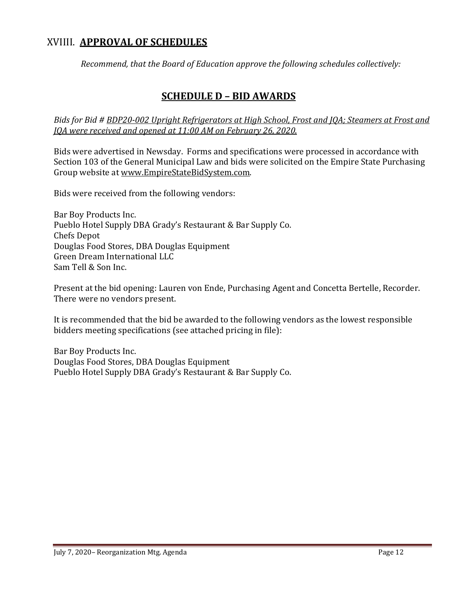### XVIIII. **APPROVAL OF SCHEDULES**

*Recommend, that the Board of Education approve the following schedules collectively:*

### **SCHEDULE D – BID AWARDS**

*Bids for Bid # BDP20-002 Upright Refrigerators at High School, Frost and JQA; Steamers at Frost and JQA were received and opened at 11:00 AM on February 26, 2020.*

Bids were advertised in Newsday. Forms and specifications were processed in accordance with Section 103 of the General Municipal Law and bids were solicited on the Empire State Purchasing Group website at [www.EmpireStateBidSystem.com.](http://www.empirestatebidsystem.com/) 

Bids were received from the following vendors:

Bar Boy Products Inc. Pueblo Hotel Supply DBA Grady's Restaurant & Bar Supply Co. Chefs Depot Douglas Food Stores, DBA Douglas Equipment Green Dream International LLC Sam Tell & Son Inc.

Present at the bid opening: Lauren von Ende, Purchasing Agent and Concetta Bertelle, Recorder. There were no vendors present.

It is recommended that the bid be awarded to the following vendors as the lowest responsible bidders meeting specifications (see attached pricing in file):

Bar Boy Products Inc. Douglas Food Stores, DBA Douglas Equipment Pueblo Hotel Supply DBA Grady's Restaurant & Bar Supply Co.